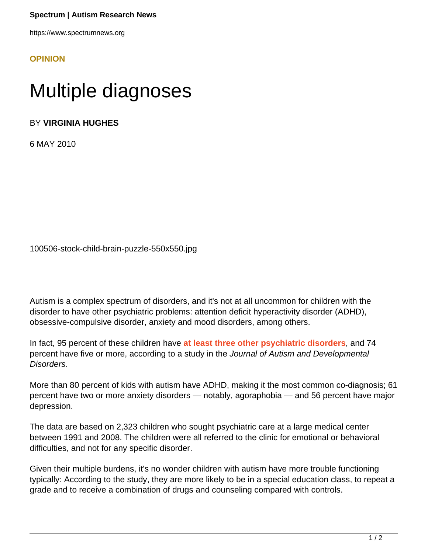https://www.spectrumnews.org

## **[OPINION](HTTPS://WWW.SPECTRUMNEWS.ORG/OPINION/)**

## Multiple diagnoses

BY **VIRGINIA HUGHES**

6 MAY 2010

100506-stock-child-brain-puzzle-550x550.jpg

Autism is a complex spectrum of disorders, and it's not at all uncommon for children with the disorder to have other psychiatric problems: attention deficit hyperactivity disorder (ADHD), obsessive-compulsive disorder, anxiety and mood disorders, among others.

In fact, 95 percent of these children have **[at least three other psychiatric disorders](http://www.springerlink.com/content/k05144806q2225j3/)**, and 74 percent have five or more, according to a study in the Journal of Autism and Developmental Disorders.

More than 80 percent of kids with autism have ADHD, making it the most common co-diagnosis; 61 percent have two or more anxiety disorders — notably, agoraphobia — and 56 percent have major depression.

The data are based on 2,323 children who sought psychiatric care at a large medical center between 1991 and 2008. The children were all referred to the clinic for emotional or behavioral difficulties, and not for any specific disorder.

Given their multiple burdens, it's no wonder children with autism have more trouble functioning typically: According to the study, they are more likely to be in a special education class, to repeat a grade and to receive a combination of drugs and counseling compared with controls.